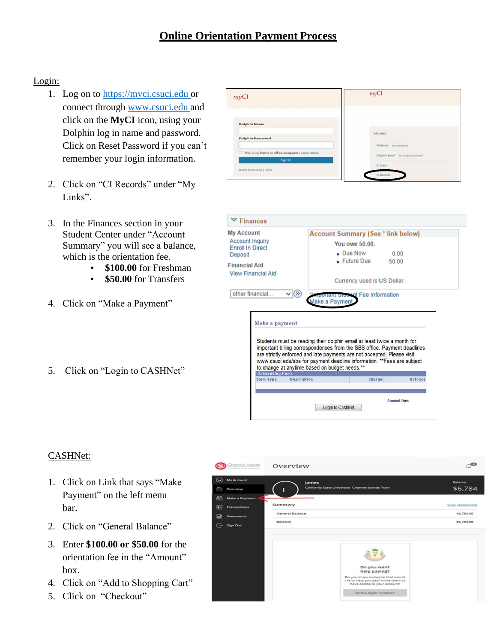## Login:

- 1. Log on to https://myci.csuci.edu or connect through [www.csuci.edu](http://www.csuci.edu/) and click on the **MyCI** icon, using your Dolphin log in name and password. Click on Reset Password if you can't remember your login information.
- 2. Click on "CI Records" under "My Links".
- 3. In the Finances section in your Student Center under "Account Summary" you will see a balance, which is the orientation fee.
	- **\$100.00** for Freshman
	- **\$50.00** for Transfers
- 4. Click on "Make a Payment"
- 5. Click on "Login to CASHNet"





## CASHNet:

- 1. Click on Link that says "Make Payment" on the left menu bar.
- 2. Click on "General Balance"
- 3. Enter **\$100.00 or \$50.00** for the orientation fee in the "Amount" box.
- 4. Click on "Add to Shopping Cart"
- 5. Click on "Checkout"